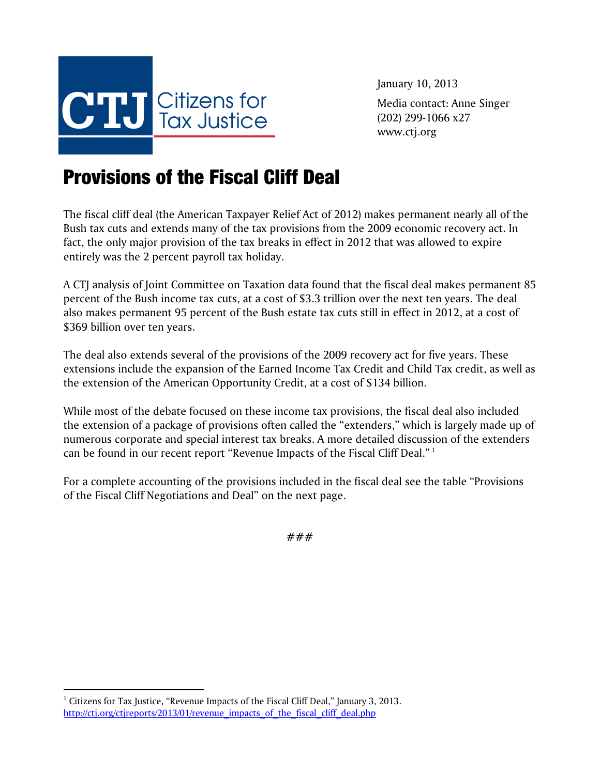

January 10, 2013 Media contact: Anne Singer (202) 299-1066 x27 www.ctj.org

## Provisions of the Fiscal Cliff Deal

The fiscal cliff deal (the American Taxpayer Relief Act of 2012) makes permanent nearly all of the Bush tax cuts and extends many of the tax provisions from the 2009 economic recovery act. In fact, the only major provision of the tax breaks in effect in 2012 that was allowed to expire entirely was the 2 percent payroll tax holiday.

A CTJ analysis of Joint Committee on Taxation data found that the fiscal deal makes permanent 85 percent of the Bush income tax cuts, at a cost of \$3.3 trillion over the next ten years. The deal also makes permanent 95 percent of the Bush estate tax cuts still in effect in 2012, at a cost of \$369 billion over ten years.

The deal also extends several of the provisions of the 2009 recovery act for five years. These extensions include the expansion of the Earned Income Tax Credit and Child Tax credit, as well as the extension of the American Opportunity Credit, at a cost of \$134 billion.

While most of the debate focused on these income tax provisions, the fiscal deal also included the extension of a package of provisions often called the "extenders," which is largely made up of numerous corporate and special interest tax breaks. A more detailed discussion of the extenders can be found in our recent report "Revenue Impacts of the Fiscal Cliff Deal." 1

For a complete accounting of the provisions included in the fiscal deal see the table "Provisions of the Fiscal Cliff Negotiations and Deal" on the next page.

###

 $\overline{a}$ 

 $1$  Citizens for Tax Justice, "Revenue Impacts of the Fiscal Cliff Deal," January 3, 2013. http://ctj.org/ctjreports/2013/01/revenue\_impacts\_of\_the\_fiscal\_cliff\_deal.php